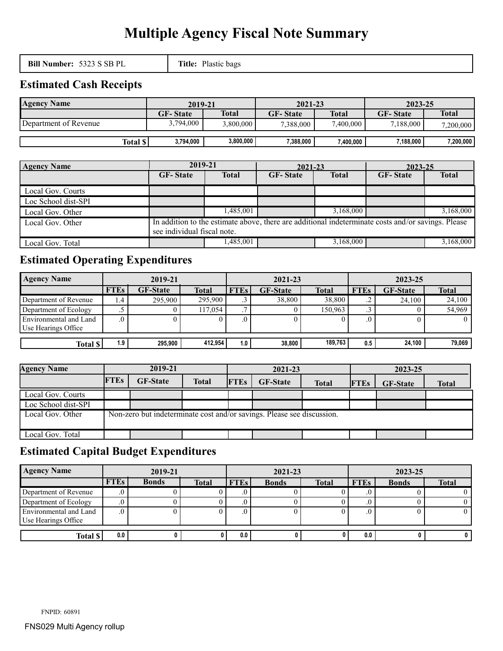# **Multiple Agency Fiscal Note Summary**

**Bill Number:** 5323 S SB PL **Title:** Plastic bags

## **Estimated Cash Receipts**

| <b>Agency Name</b>    | 2019-21         |              | 2021-23         |              | 2023-25         |              |
|-----------------------|-----------------|--------------|-----------------|--------------|-----------------|--------------|
|                       | <b>GF-State</b> | <b>Total</b> | <b>GF-State</b> | <b>Total</b> | <b>GF-State</b> | <b>Total</b> |
| Department of Revenue | 3,794,000       | 3,800,000    | 7,388,000       | 7,400,000    | 7.188.000       | 7,200,000    |
|                       |                 |              |                 |              |                 |              |
| Total $\ $            | 3,794,000       | 3,800,000    | 7,388,000       | 400.000      | $7,188,000$     | 7,200,000    |

| <b>Agency Name</b>  | 2019-21                                                                                                                           |              | 2021-23         |              | 2023-25         |              |  |  |
|---------------------|-----------------------------------------------------------------------------------------------------------------------------------|--------------|-----------------|--------------|-----------------|--------------|--|--|
|                     | <b>GF-State</b>                                                                                                                   | <b>Total</b> | <b>GF-State</b> | <b>Total</b> | <b>GF-State</b> | <b>Total</b> |  |  |
| Local Gov. Courts   |                                                                                                                                   |              |                 |              |                 |              |  |  |
| Loc School dist-SPI |                                                                                                                                   |              |                 |              |                 |              |  |  |
| Local Gov. Other    |                                                                                                                                   | 1,485,001    |                 | 3,168,000    |                 | 3,168,000    |  |  |
| Local Gov. Other    | In addition to the estimate above, there are additional indeterminate costs and/or savings. Please<br>see individual fiscal note. |              |                 |              |                 |              |  |  |
| Local Gov. Total    |                                                                                                                                   | 1,485,001    |                 | 3,168,000    |                 | 3,168,000    |  |  |

# **Estimated Operating Expenditures**

| <b>Agency Name</b>     | 2019-21     |                 |              |             | 2021-23         |              |             | 2023-25         |              |  |
|------------------------|-------------|-----------------|--------------|-------------|-----------------|--------------|-------------|-----------------|--------------|--|
|                        | <b>FTEs</b> | <b>GF-State</b> | <b>Total</b> | <b>FTEs</b> | <b>GF-State</b> | <b>Total</b> | <b>FTEs</b> | <b>GF-State</b> | <b>Total</b> |  |
| Department of Revenue  | 4.4         | 295.900         | 295.900      |             | 38,800          | 38.800       | ت .         | 24.100          | 24,100       |  |
| Department of Ecology  |             |                 | 117,054      |             |                 | 150.963      | ت           |                 | 54,969       |  |
| Environmental and Land |             |                 |              |             |                 |              |             |                 |              |  |
| Use Hearings Office    |             |                 |              |             |                 |              |             |                 |              |  |
|                        |             |                 |              |             |                 |              |             |                 |              |  |
| Total \$               | $1.9$ .     | 295.900         | 412.954      | 1.0         | 38,800          | 189.763      | 0.5         | 24.100          | 79,069       |  |

| <b>Agency Name</b>  | 2019-21                                                                |                 | 2021-23      |             |                 | 2023-25      |             |                 |              |
|---------------------|------------------------------------------------------------------------|-----------------|--------------|-------------|-----------------|--------------|-------------|-----------------|--------------|
|                     | <b>FTEs</b>                                                            | <b>GF-State</b> | <b>Total</b> | <b>FTEs</b> | <b>GF-State</b> | <b>Total</b> | <b>FTEs</b> | <b>GF-State</b> | <b>Total</b> |
| Local Gov. Courts   |                                                                        |                 |              |             |                 |              |             |                 |              |
| Loc School dist-SPI |                                                                        |                 |              |             |                 |              |             |                 |              |
| Local Gov. Other    | Non-zero but indeterminate cost and/or savings. Please see discussion. |                 |              |             |                 |              |             |                 |              |
| Local Gov. Total    |                                                                        |                 |              |             |                 |              |             |                 |              |

# **Estimated Capital Budget Expenditures**

| <b>Agency Name</b>     | 2019-21     |              |              | 2021-23     |              |              | 2023-25     |              |              |
|------------------------|-------------|--------------|--------------|-------------|--------------|--------------|-------------|--------------|--------------|
|                        | <b>FTEs</b> | <b>Bonds</b> | <b>Total</b> | <b>FTEs</b> | <b>Bonds</b> | <b>Total</b> | <b>FTEs</b> | <b>Bonds</b> | <b>Total</b> |
| Department of Revenue  | .v          |              |              |             |              |              |             |              |              |
| Department of Ecology  |             |              |              |             |              |              |             |              |              |
| Environmental and Land |             |              |              |             |              |              |             |              |              |
| Use Hearings Office    |             |              |              |             |              |              |             |              |              |
| Total \$               | 0.0         |              |              | 0.0         |              |              | 0.0         |              |              |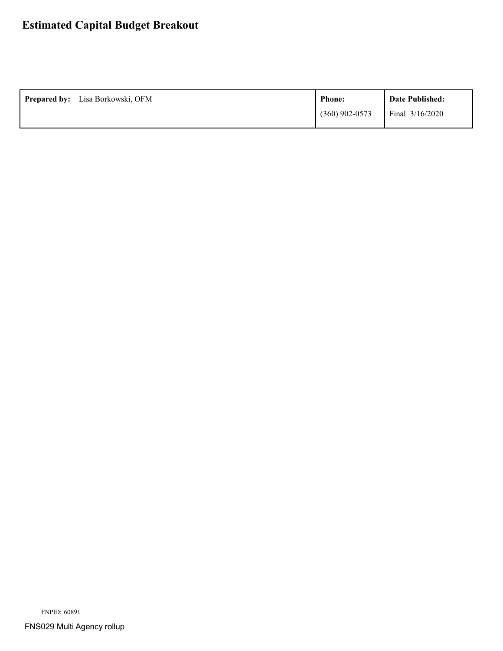# **Estimated Capital Budget Breakout**

| <b>Prepared by:</b> Lisa Borkowski, OFM | <b>Phone:</b>    | Date Published:   |
|-----------------------------------------|------------------|-------------------|
|                                         | $(360)$ 902-0573 | Final $3/16/2020$ |

FNPID: 60891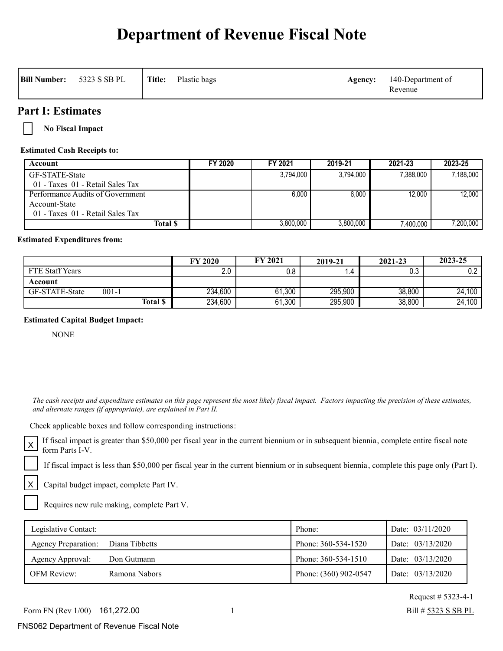# **Department of Revenue Fiscal Note**

| Title:<br>5323 S SB PL<br>Plastic bags<br><b>Bill Number:</b><br>Agency: | 140-Department of<br>Revenue |  |
|--------------------------------------------------------------------------|------------------------------|--|
|--------------------------------------------------------------------------|------------------------------|--|

### **Part I: Estimates**

**No Fiscal Impact**

**Estimated Cash Receipts to:**

| Account                          | FY 2020 | FY 2021   | 2019-21   | 2021-23   | 2023-25   |
|----------------------------------|---------|-----------|-----------|-----------|-----------|
| GF-STATE-State                   |         | 3,794,000 | 3.794.000 | 7,388,000 | 7.188.000 |
| 01 - Taxes 01 - Retail Sales Tax |         |           |           |           |           |
| Performance Audits of Government |         | 6.000     | 6.000     | 12.000    | 12.000    |
| Account-State                    |         |           |           |           |           |
| 01 - Taxes 01 - Retail Sales Tax |         |           |           |           |           |
| Total \$                         |         | 3.800.000 | 3,800,000 | 7.400.000 | 7,200,000 |

### **Estimated Expenditures from:**

|                 |                 | <b>FY 2020</b>  | <b>FY 2021</b> | 2019-21 | 2021-23 | 2023-25 |
|-----------------|-----------------|-----------------|----------------|---------|---------|---------|
| FTE Staff Years |                 | $\Omega$<br>Z.U | $0.8\,$        |         | 0.3     | 0.2     |
| Account         |                 |                 |                |         |         |         |
| GF-STATE-State  | $001 - 1$       | 234,600         | 61,300         | 295,900 | 38,800  | 24,100  |
|                 | <b>Total \$</b> | 234,600         | 61,300         | 295,900 | 38,800  | 24,100  |

### **Estimated Capital Budget Impact:**

NONE

X

 *The cash receipts and expenditure estimates on this page represent the most likely fiscal impact. Factors impacting the precision of these estimates, and alternate ranges (if appropriate), are explained in Part II.* 

Check applicable boxes and follow corresponding instructions:

If fiscal impact is greater than \$50,000 per fiscal year in the current biennium or in subsequent biennia, complete entire fiscal note  $X$   $\Gamma$ <sup>11</sup> 11scar impact

If fiscal impact is less than \$50,000 per fiscal year in the current biennium or in subsequent biennia, complete this page only (Part I).

Capital budget impact, complete Part IV.

Requires new rule making, complete Part V.

| Legislative Contact:       |                | Phone:                | Date: 03/11/2020 |
|----------------------------|----------------|-----------------------|------------------|
| <b>Agency Preparation:</b> | Diana Tibbetts | Phone: 360-534-1520   | Date: 03/13/2020 |
| Agency Approval:           | Don Gutmann    | Phone: 360-534-1510   | Date: 03/13/2020 |
| <b>OFM Review:</b>         | Ramona Nabors  | Phone: (360) 902-0547 | Date: 03/13/2020 |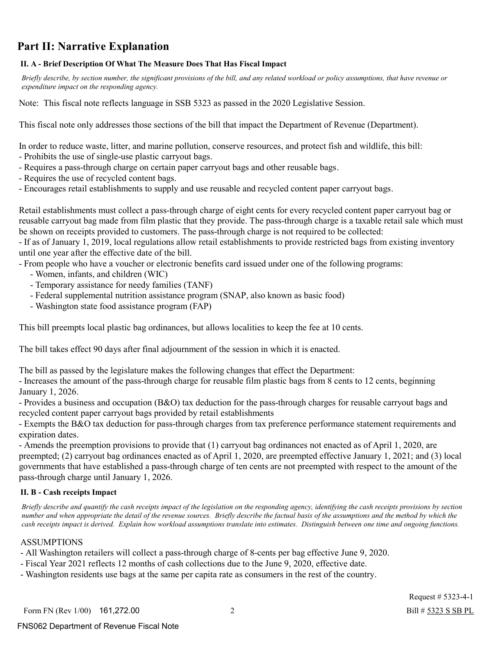# **Part II: Narrative Explanation**

### **II. A - Brief Description Of What The Measure Does That Has Fiscal Impact**

 *Briefly describe, by section number, the significant provisions of the bill, and any related workload or policy assumptions, that have revenue or expenditure impact on the responding agency.*

Note: This fiscal note reflects language in SSB 5323 as passed in the 2020 Legislative Session.

This fiscal note only addresses those sections of the bill that impact the Department of Revenue (Department).

In order to reduce waste, litter, and marine pollution, conserve resources, and protect fish and wildlife, this bill:

- Prohibits the use of single-use plastic carryout bags.
- Requires a pass-through charge on certain paper carryout bags and other reusable bags.
- Requires the use of recycled content bags.
- Encourages retail establishments to supply and use reusable and recycled content paper carryout bags.

Retail establishments must collect a pass-through charge of eight cents for every recycled content paper carryout bag or reusable carryout bag made from film plastic that they provide. The pass-through charge is a taxable retail sale which must be shown on receipts provided to customers. The pass-through charge is not required to be collected:

- If as of January 1, 2019, local regulations allow retail establishments to provide restricted bags from existing inventory until one year after the effective date of the bill.

- From people who have a voucher or electronic benefits card issued under one of the following programs:

- Women, infants, and children (WIC)
- Temporary assistance for needy families (TANF)
- Federal supplemental nutrition assistance program (SNAP, also known as basic food)
- Washington state food assistance program (FAP)

This bill preempts local plastic bag ordinances, but allows localities to keep the fee at 10 cents.

The bill takes effect 90 days after final adjournment of the session in which it is enacted.

The bill as passed by the legislature makes the following changes that effect the Department:

- Increases the amount of the pass-through charge for reusable film plastic bags from 8 cents to 12 cents, beginning January 1, 2026.

- Provides a business and occupation (B&O) tax deduction for the pass-through charges for reusable carryout bags and recycled content paper carryout bags provided by retail establishments

- Exempts the B&O tax deduction for pass-through charges from tax preference performance statement requirements and expiration dates.

- Amends the preemption provisions to provide that (1) carryout bag ordinances not enacted as of April 1, 2020, are preempted; (2) carryout bag ordinances enacted as of April 1, 2020, are preempted effective January 1, 2021; and (3) local governments that have established a pass-through charge of ten cents are not preempted with respect to the amount of the pass-through charge until January 1, 2026.

### **II. B - Cash receipts Impact**

 *Briefly describe and quantify the cash receipts impact of the legislation on the responding agency, identifying the cash receipts provisions by section number and when appropriate the detail of the revenue sources. Briefly describe the factual basis of the assumptions and the method by which the cash receipts impact is derived. Explain how workload assumptions translate into estimates. Distinguish between one time and ongoing functions.*

### ASSUMPTIONS

- All Washington retailers will collect a pass-through charge of 8-cents per bag effective June 9, 2020.
- Fiscal Year 2021 reflects 12 months of cash collections due to the June 9, 2020, effective date.
- Washington residents use bags at the same per capita rate as consumers in the rest of the country.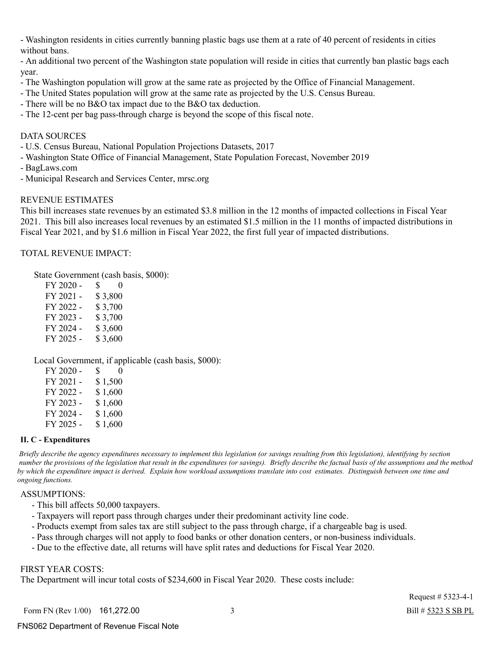- Washington residents in cities currently banning plastic bags use them at a rate of 40 percent of residents in cities without bans.

- An additional two percent of the Washington state population will reside in cities that currently ban plastic bags each year.

- The Washington population will grow at the same rate as projected by the Office of Financial Management.
- The United States population will grow at the same rate as projected by the U.S. Census Bureau.
- There will be no B&O tax impact due to the B&O tax deduction.
- The 12-cent per bag pass-through charge is beyond the scope of this fiscal note.

### DATA SOURCES

- U.S. Census Bureau, National Population Projections Datasets, 2017
- Washington State Office of Financial Management, State Population Forecast, November 2019
- BagLaws.com
- Municipal Research and Services Center, mrsc.org

### REVENUE ESTIMATES

This bill increases state revenues by an estimated \$3.8 million in the 12 months of impacted collections in Fiscal Year 2021. This bill also increases local revenues by an estimated \$1.5 million in the 11 months of impacted distributions in Fiscal Year 2021, and by \$1.6 million in Fiscal Year 2022, the first full year of impacted distributions.

TOTAL REVENUE IMPACT:

State Government (cash basis, \$000):

| S.<br>$\theta$ |
|----------------|
| \$3,800        |
| \$3,700        |
| \$3,700        |
| \$3,600        |
| \$3,600        |
|                |

Local Government, if applicable (cash basis, \$000):

| FY 2020 - | S.      | $\Omega$ |
|-----------|---------|----------|
| FY 2021 - | \$1,500 |          |
| FY 2022 - | \$1,600 |          |
| FY 2023 - | \$1,600 |          |
| FY 2024 - | \$1,600 |          |
| FY 2025 - | \$1,600 |          |

#### **II. C - Expenditures**

 *Briefly describe the agency expenditures necessary to implement this legislation (or savings resulting from this legislation), identifying by section number the provisions of the legislation that result in the expenditures (or savings). Briefly describe the factual basis of the assumptions and the method by which the expenditure impact is derived. Explain how workload assumptions translate into cost estimates. Distinguish between one time and ongoing functions.*

#### ASSUMPTIONS:

- This bill affects 50,000 taxpayers.
- Taxpayers will report pass through charges under their predominant activity line code.
- Products exempt from sales tax are still subject to the pass through charge, if a chargeable bag is used.
- Pass through charges will not apply to food banks or other donation centers, or non-business individuals.
- Due to the effective date, all returns will have split rates and deductions for Fiscal Year 2020.

### FIRST YEAR COSTS:

The Department will incur total costs of \$234,600 in Fiscal Year 2020. These costs include: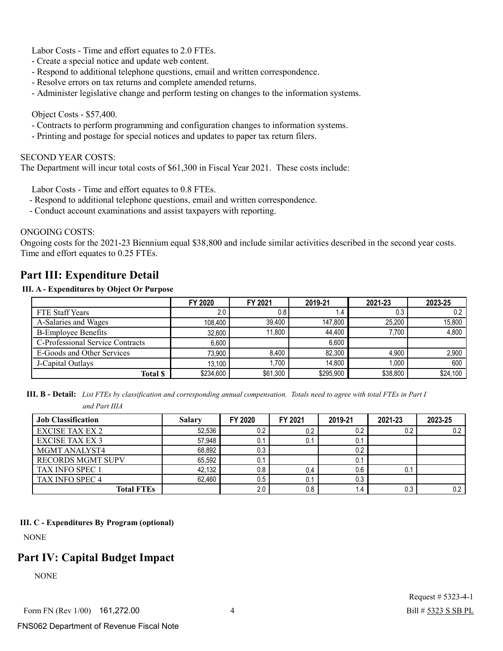Labor Costs - Time and effort equates to 2.0 FTEs.

- Create a special notice and update web content.
- Respond to additional telephone questions, email and written correspondence.
- Resolve errors on tax returns and complete amended returns.
- Administer legislative change and perform testing on changes to the information systems.

### Object Costs - \$57,400.

- Contracts to perform programming and configuration changes to information systems.
- Printing and postage for special notices and updates to paper tax return filers.

#### SECOND YEAR COSTS:

The Department will incur total costs of \$61,300 in Fiscal Year 2021. These costs include:

Labor Costs - Time and effort equates to 0.8 FTEs.

- Respond to additional telephone questions, email and written correspondence.
- Conduct account examinations and assist taxpayers with reporting.

### ONGOING COSTS:

Ongoing costs for the 2021-23 Biennium equal \$38,800 and include similar activities described in the second year costs. Time and effort equates to 0.25 FTEs.

### **Part III: Expenditure Detail**

### **III. A - Expenditures by Object Or Purpose**

|                                  | FY 2020   | FY 2021  | 2019-21   | 2021-23  | 2023-25  |
|----------------------------------|-----------|----------|-----------|----------|----------|
| <b>FTE Staff Years</b>           | 2.0       | 0.8      | l.4       | 0.3      | 0.2      |
| A-Salaries and Wages             | 108.400   | 39.400   | 147,800   | 25.200   | 15,800   |
| <b>B-Employee Benefits</b>       | 32,600    | 11.800   | 44.400    | 7.700    | 4,800    |
| C-Professional Service Contracts | 6,600     |          | 6.600     |          |          |
| E-Goods and Other Services       | 73,900    | 8.400    | 82.300    | 4.900    | 2,900    |
| J-Capital Outlays                | 13,100    | .700     | 14.800    | 1.000    | 600      |
| <b>Total \$</b>                  | \$234,600 | \$61,300 | \$295,900 | \$38,800 | \$24,100 |

**III. B - Detail:** *List FTEs by classification and corresponding annual compensation. Totals need to agree with total FTEs in Part I and Part IIIA*

| <b>Job Classification</b> | <b>Salary</b> | FY 2020 | FY 2021 | 2019-21                       | 2021-23 | 2023-25 |
|---------------------------|---------------|---------|---------|-------------------------------|---------|---------|
| <b>EXCISE TAX EX 2</b>    | 52,536        | 0.2     | 0.2     | 0.2                           | 0.2     | 0.2     |
| <b>EXCISE TAX EX 3</b>    | 57,948        | 0.1     | 0.1     | U.                            |         |         |
| <b>MGMT ANALYST4</b>      | 68,892        | 0.3     |         | 0.2                           |         |         |
| <b>RECORDS MGMT SUPV</b>  | 65,592        | 0.1     |         | 0.1                           |         |         |
| <b>TAX INFO SPEC 1</b>    | 42,132        | 0.8     | 0.4     | 0.6                           | 0.1     |         |
| TAX INFO SPEC 4           | 62.460        | 0.5     | 0.1     | 0.3                           |         |         |
| <b>Total FTEs</b>         |               | 2.0     | 0.8     | $\mathsf{I} \cdot \mathsf{A}$ | 0.3     | 0.2     |

#### **III. C - Expenditures By Program (optional)**

NONE

### **Part IV: Capital Budget Impact**

**NONE**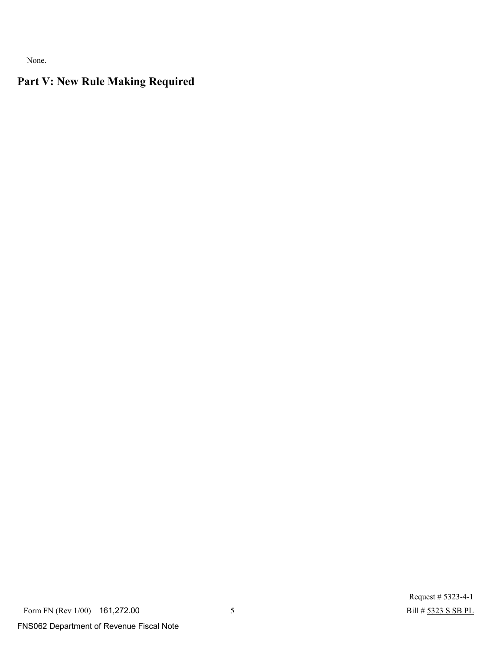None.

# **Part V: New Rule Making Required**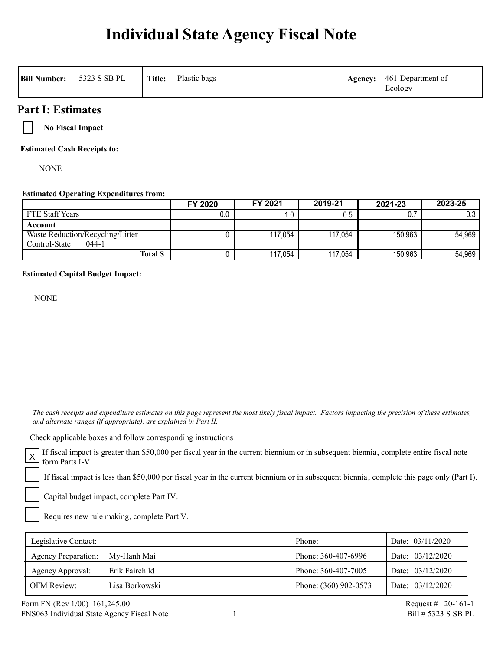# **Individual State Agency Fiscal Note**

| <b>Bill Number:</b> | 5323 S SB PL | Title: | Plastic bags | Agency: | 461-Department of<br>Ecology |
|---------------------|--------------|--------|--------------|---------|------------------------------|
|---------------------|--------------|--------|--------------|---------|------------------------------|

### **Part I: Estimates**

**No Fiscal Impact**

**Estimated Cash Receipts to:**

NONE

### **Estimated Operating Expenditures from:**

|                                  | FY 2020 | FY 2021 | 2019-21 | 2021-23 | 2023-25 |
|----------------------------------|---------|---------|---------|---------|---------|
| FTE Staff Years                  | 0.0     |         | 0.5     | 0.7     | 0.3     |
| Account                          |         |         |         |         |         |
| Waste Reduction/Recycling/Litter |         | 117,054 | 117,054 | 150,963 | 54,969  |
| Control-State<br>$044-1$         |         |         |         |         |         |
| <b>Total \$</b>                  |         | 117,054 | 117,054 | 150,963 | 54,969  |

### **Estimated Capital Budget Impact:**

NONE

 *The cash receipts and expenditure estimates on this page represent the most likely fiscal impact. Factors impacting the precision of these estimates, and alternate ranges (if appropriate), are explained in Part II.* 

Check applicable boxes and follow corresponding instructions:

If fiscal impact is greater than \$50,000 per fiscal year in the current biennium or in subsequent biennia, complete entire fiscal note form Parts I-V.

If fiscal impact is less than \$50,000 per fiscal year in the current biennium or in subsequent biennia, complete this page only (Part I).

Capital budget impact, complete Part IV.

Requires new rule making, complete Part V.

| Legislative Contact:       |                | Phone:                | Date: $03/11/2020$ |
|----------------------------|----------------|-----------------------|--------------------|
| <b>Agency Preparation:</b> | My-Hanh Mai    | Phone: 360-407-6996   | Date: 03/12/2020   |
| Agency Approval:           | Erik Fairchild | Phone: 360-407-7005   | Date: 03/12/2020   |
| <b>OFM Review:</b>         | Lisa Borkowski | Phone: (360) 902-0573 | Date: 03/12/2020   |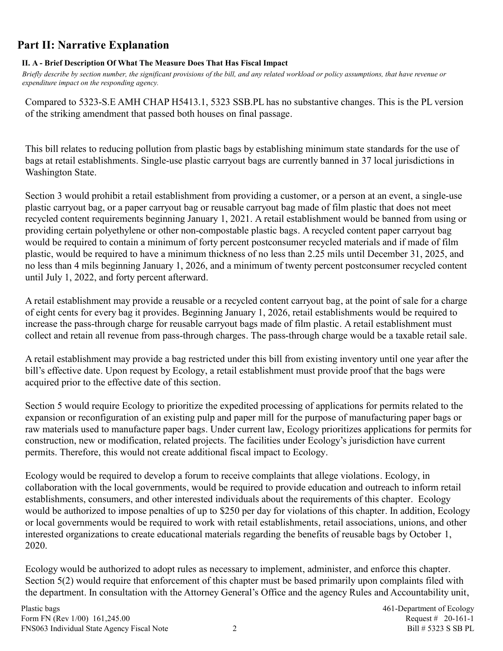# **Part II: Narrative Explanation**

### **II. A - Brief Description Of What The Measure Does That Has Fiscal Impact**

*Briefly describe by section number, the significant provisions of the bill, and any related workload or policy assumptions, that have revenue or expenditure impact on the responding agency.*

Compared to 5323-S.E AMH CHAP H5413.1, 5323 SSB.PL has no substantive changes. This is the PL version of the striking amendment that passed both houses on final passage.

This bill relates to reducing pollution from plastic bags by establishing minimum state standards for the use of bags at retail establishments. Single-use plastic carryout bags are currently banned in 37 local jurisdictions in Washington State.

Section 3 would prohibit a retail establishment from providing a customer, or a person at an event, a single-use plastic carryout bag, or a paper carryout bag or reusable carryout bag made of film plastic that does not meet recycled content requirements beginning January 1, 2021. A retail establishment would be banned from using or providing certain polyethylene or other non-compostable plastic bags. A recycled content paper carryout bag would be required to contain a minimum of forty percent postconsumer recycled materials and if made of film plastic, would be required to have a minimum thickness of no less than 2.25 mils until December 31, 2025, and no less than 4 mils beginning January 1, 2026, and a minimum of twenty percent postconsumer recycled content until July 1, 2022, and forty percent afterward.

A retail establishment may provide a reusable or a recycled content carryout bag, at the point of sale for a charge of eight cents for every bag it provides. Beginning January 1, 2026, retail establishments would be required to increase the pass-through charge for reusable carryout bags made of film plastic. A retail establishment must collect and retain all revenue from pass-through charges. The pass-through charge would be a taxable retail sale.

A retail establishment may provide a bag restricted under this bill from existing inventory until one year after the bill's effective date. Upon request by Ecology, a retail establishment must provide proof that the bags were acquired prior to the effective date of this section.

Section 5 would require Ecology to prioritize the expedited processing of applications for permits related to the expansion or reconfiguration of an existing pulp and paper mill for the purpose of manufacturing paper bags or raw materials used to manufacture paper bags. Under current law, Ecology prioritizes applications for permits for construction, new or modification, related projects. The facilities under Ecology's jurisdiction have current permits. Therefore, this would not create additional fiscal impact to Ecology.

Ecology would be required to develop a forum to receive complaints that allege violations. Ecology, in collaboration with the local governments, would be required to provide education and outreach to inform retail establishments, consumers, and other interested individuals about the requirements of this chapter. Ecology would be authorized to impose penalties of up to \$250 per day for violations of this chapter. In addition, Ecology or local governments would be required to work with retail establishments, retail associations, unions, and other interested organizations to create educational materials regarding the benefits of reusable bags by October 1, 2020.

Ecology would be authorized to adopt rules as necessary to implement, administer, and enforce this chapter. Section 5(2) would require that enforcement of this chapter must be based primarily upon complaints filed with the department. In consultation with the Attorney General's Office and the agency Rules and Accountability unit,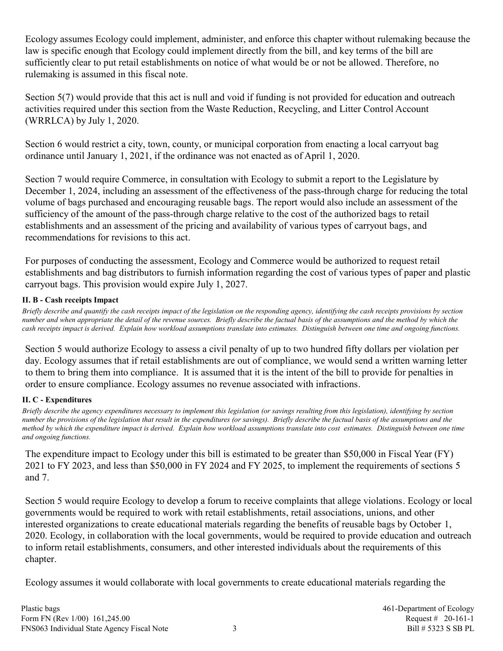Ecology assumes Ecology could implement, administer, and enforce this chapter without rulemaking because the law is specific enough that Ecology could implement directly from the bill, and key terms of the bill are sufficiently clear to put retail establishments on notice of what would be or not be allowed. Therefore, no rulemaking is assumed in this fiscal note.

Section 5(7) would provide that this act is null and void if funding is not provided for education and outreach activities required under this section from the Waste Reduction, Recycling, and Litter Control Account (WRRLCA) by July 1, 2020.

Section 6 would restrict a city, town, county, or municipal corporation from enacting a local carryout bag ordinance until January 1, 2021, if the ordinance was not enacted as of April 1, 2020.

Section 7 would require Commerce, in consultation with Ecology to submit a report to the Legislature by December 1, 2024, including an assessment of the effectiveness of the pass-through charge for reducing the total volume of bags purchased and encouraging reusable bags. The report would also include an assessment of the sufficiency of the amount of the pass-through charge relative to the cost of the authorized bags to retail establishments and an assessment of the pricing and availability of various types of carryout bags, and recommendations for revisions to this act.

For purposes of conducting the assessment, Ecology and Commerce would be authorized to request retail establishments and bag distributors to furnish information regarding the cost of various types of paper and plastic carryout bags. This provision would expire July 1, 2027.

### **II. B - Cash receipts Impact**

*Briefly describe and quantify the cash receipts impact of the legislation on the responding agency, identifying the cash receipts provisions by section number and when appropriate the detail of the revenue sources. Briefly describe the factual basis of the assumptions and the method by which the cash receipts impact is derived. Explain how workload assumptions translate into estimates. Distinguish between one time and ongoing functions.*

Section 5 would authorize Ecology to assess a civil penalty of up to two hundred fifty dollars per violation per day. Ecology assumes that if retail establishments are out of compliance, we would send a written warning letter to them to bring them into compliance. It is assumed that it is the intent of the bill to provide for penalties in order to ensure compliance. Ecology assumes no revenue associated with infractions.

### **II. C - Expenditures**

*Briefly describe the agency expenditures necessary to implement this legislation (or savings resulting from this legislation), identifying by section number the provisions of the legislation that result in the expenditures (or savings). Briefly describe the factual basis of the assumptions and the method by which the expenditure impact is derived. Explain how workload assumptions translate into cost estimates. Distinguish between one time and ongoing functions.*

The expenditure impact to Ecology under this bill is estimated to be greater than \$50,000 in Fiscal Year (FY) 2021 to FY 2023, and less than \$50,000 in FY 2024 and FY 2025, to implement the requirements of sections 5 and 7.

Section 5 would require Ecology to develop a forum to receive complaints that allege violations. Ecology or local governments would be required to work with retail establishments, retail associations, unions, and other interested organizations to create educational materials regarding the benefits of reusable bags by October 1, 2020. Ecology, in collaboration with the local governments, would be required to provide education and outreach to inform retail establishments, consumers, and other interested individuals about the requirements of this chapter.

Ecology assumes it would collaborate with local governments to create educational materials regarding the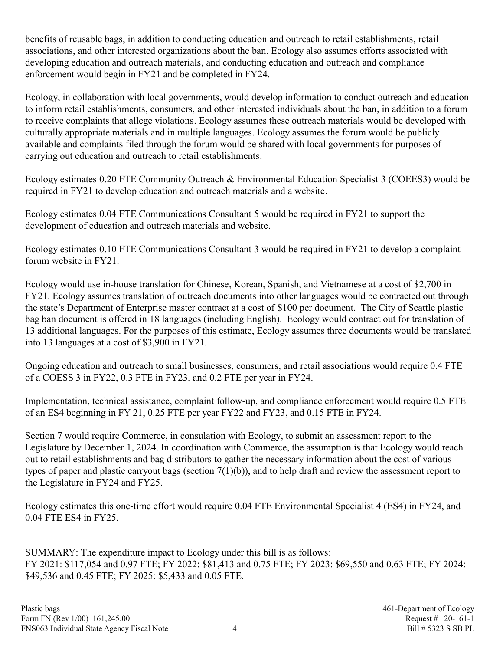benefits of reusable bags, in addition to conducting education and outreach to retail establishments, retail associations, and other interested organizations about the ban. Ecology also assumes efforts associated with developing education and outreach materials, and conducting education and outreach and compliance enforcement would begin in FY21 and be completed in FY24.

Ecology, in collaboration with local governments, would develop information to conduct outreach and education to inform retail establishments, consumers, and other interested individuals about the ban, in addition to a forum to receive complaints that allege violations. Ecology assumes these outreach materials would be developed with culturally appropriate materials and in multiple languages. Ecology assumes the forum would be publicly available and complaints filed through the forum would be shared with local governments for purposes of carrying out education and outreach to retail establishments.

Ecology estimates 0.20 FTE Community Outreach & Environmental Education Specialist 3 (COEES3) would be required in FY21 to develop education and outreach materials and a website.

Ecology estimates 0.04 FTE Communications Consultant 5 would be required in FY21 to support the development of education and outreach materials and website.

Ecology estimates 0.10 FTE Communications Consultant 3 would be required in FY21 to develop a complaint forum website in FY21.

Ecology would use in-house translation for Chinese, Korean, Spanish, and Vietnamese at a cost of \$2,700 in FY21. Ecology assumes translation of outreach documents into other languages would be contracted out through the state's Department of Enterprise master contract at a cost of \$100 per document. The City of Seattle plastic bag ban document is offered in 18 languages (including English). Ecology would contract out for translation of 13 additional languages. For the purposes of this estimate, Ecology assumes three documents would be translated into 13 languages at a cost of \$3,900 in FY21.

Ongoing education and outreach to small businesses, consumers, and retail associations would require 0.4 FTE of a COESS 3 in FY22, 0.3 FTE in FY23, and 0.2 FTE per year in FY24.

Implementation, technical assistance, complaint follow-up, and compliance enforcement would require 0.5 FTE of an ES4 beginning in FY 21, 0.25 FTE per year FY22 and FY23, and 0.15 FTE in FY24.

Section 7 would require Commerce, in consulation with Ecology, to submit an assessment report to the Legislature by December 1, 2024. In coordination with Commerce, the assumption is that Ecology would reach out to retail establishments and bag distributors to gather the necessary information about the cost of various types of paper and plastic carryout bags (section 7(1)(b)), and to help draft and review the assessment report to the Legislature in FY24 and FY25.

Ecology estimates this one-time effort would require 0.04 FTE Environmental Specialist 4 (ES4) in FY24, and 0.04 FTE ES4 in FY25.

SUMMARY: The expenditure impact to Ecology under this bill is as follows: FY 2021: \$117,054 and 0.97 FTE; FY 2022: \$81,413 and 0.75 FTE; FY 2023: \$69,550 and 0.63 FTE; FY 2024: \$49,536 and 0.45 FTE; FY 2025: \$5,433 and 0.05 FTE.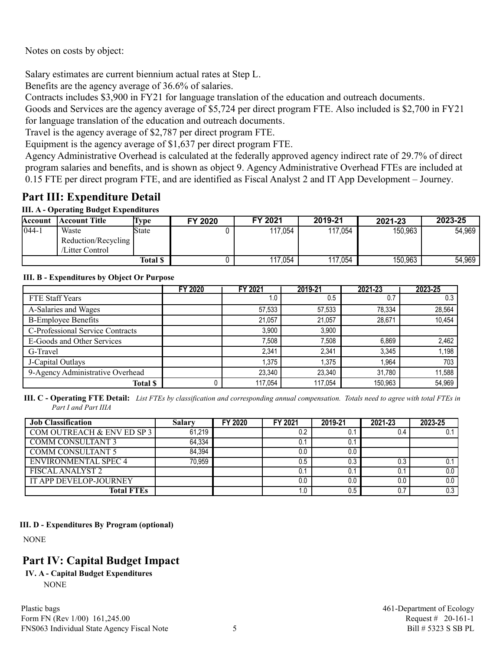Notes on costs by object:

Salary estimates are current biennium actual rates at Step L.

Benefits are the agency average of 36.6% of salaries.

Contracts includes \$3,900 in FY21 for language translation of the education and outreach documents.

Goods and Services are the agency average of \$5,724 per direct program FTE. Also included is \$2,700 in FY21 for language translation of the education and outreach documents.

Travel is the agency average of \$2,787 per direct program FTE.

Equipment is the agency average of \$1,637 per direct program FTE.

Agency Administrative Overhead is calculated at the federally approved agency indirect rate of 29.7% of direct program salaries and benefits, and is shown as object 9. Agency Administrative Overhead FTEs are included at 0.15 FTE per direct program FTE, and are identified as Fiscal Analyst 2 and IT App Development – Journey.

### **Part III: Expenditure Detail**

### **III. A - Operating Budget Expenditures**

| Account    | <b>Account Title</b>                            | Lvpe     | FY 2020 | FY 2021 | 2019-21 | 2021-23 | 2023-25 |
|------------|-------------------------------------------------|----------|---------|---------|---------|---------|---------|
| $1044 - 1$ | Waste<br>Reduction/Recycling<br>/Litter Control | 'State   |         | 117,054 | 117,054 | 150,963 | 54,969  |
|            |                                                 | Total \$ |         | 117.054 | 17,054  | 150,963 | 54,969  |

### **III. B - Expenditures by Object Or Purpose**

|                                  | <b>FY 2020</b> | FY 2021 | 2019-21 | 2021-23 | 2023-25 |
|----------------------------------|----------------|---------|---------|---------|---------|
| FTE Staff Years                  |                | 1.0     | 0.5     | 0.7     | 0.3     |
| A-Salaries and Wages             |                | 57,533  | 57,533  | 78.334  | 28,564  |
| <b>B-Employee Benefits</b>       |                | 21.057  | 21.057  | 28.671  | 10,454  |
| C-Professional Service Contracts |                | 3,900   | 3,900   |         |         |
| E-Goods and Other Services       |                | 7,508   | 7.508   | 6,869   | 2,462   |
| G-Travel                         |                | 2,341   | 2,341   | 3,345   | 1,198   |
| J-Capital Outlays                |                | .375    | 1.375   | 1.964   | 703     |
| 9-Agency Administrative Overhead |                | 23.340  | 23,340  | 31.780  | 11,588  |
| <b>Total \$</b>                  |                | 117.054 | 117.054 | 150.963 | 54,969  |

**III. C - Operating FTE Detail:** *List FTEs by classification and corresponding annual compensation. Totals need to agree with total FTEs in Part I and Part IIIA*

| <b>Job Classification</b>     | Salarv | FY 2020 | FY 2021 | 2019-21 | 2021-23 | 2023-25       |
|-------------------------------|--------|---------|---------|---------|---------|---------------|
| COM OUTREACH & ENV ED SP 3    | 61,219 |         | 0.2     | U.      | 0.4     |               |
| COMM CONSULTANT 3             | 64.334 |         | 0.1     | U.      |         |               |
| <b>COMM CONSULTANT 5</b>      | 84.394 |         | 0.0     | 0.0     |         |               |
| ENVIRONMENTAL SPEC 4          | 70.959 |         | 0.5     | 0.3     | 0.3     | 0.1           |
| <b>FISCAL ANALYST 2</b>       |        |         | 0.1     |         | U.      | $0.0$ $\vert$ |
| <b>IT APP DEVELOP-JOURNEY</b> |        |         | 0.0     | 0.0     | 0.0     | 0.O I         |
| <b>Total FTEs</b>             |        |         | 1.0     | 0.5     |         | 0.3           |

### **III. D - Expenditures By Program (optional)**

NONE

# **Part IV: Capital Budget Impact**

**IV. A - Capital Budget Expenditures** NONE

Plastic bags and the extent of Ecology and the Plastic bags and the extent of Ecology and the Plastic bags and the Ecology and the Ecology and the Ecology and the Ecology and the Ecology and the Ecology and the Ecology and Form FN (Rev 1/00) 161,245.00 Request # 20-161-1 FNS063 Individual State Agency Fiscal Note 5 5 Bill # 5323 S SB PL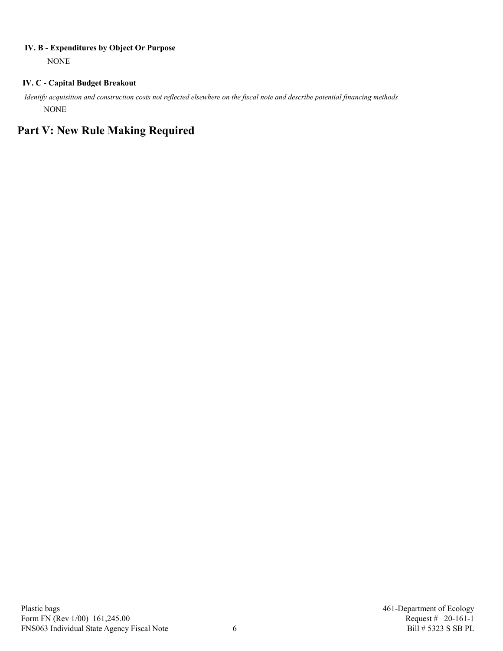### **IV. B - Expenditures by Object Or Purpose**

NONE

### **IV. C - Capital Budget Breakout**

 *Identify acquisition and construction costs not reflected elsewhere on the fiscal note and describe potential financing methods* NONE

# **Part V: New Rule Making Required**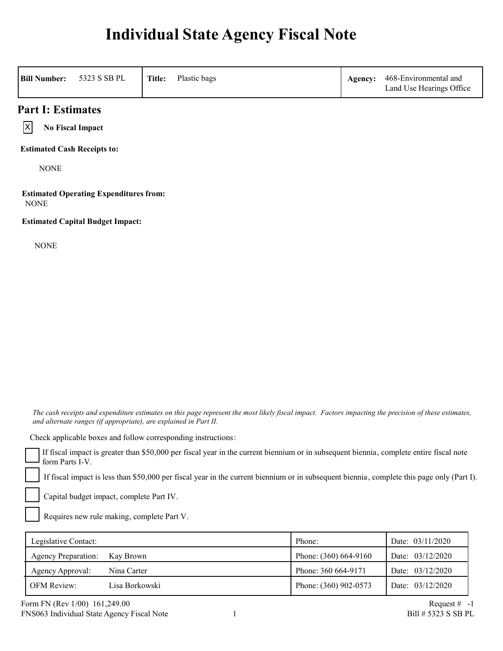# **Individual State Agency Fiscal Note**

| <b>Bill Number:</b>                | 5323 S SB PL                                  | Title: | Plastic bags | Agency: | 468-Environmental and<br>Land Use Hearings Office |
|------------------------------------|-----------------------------------------------|--------|--------------|---------|---------------------------------------------------|
| <b>Part I: Estimates</b>           |                                               |        |              |         |                                                   |
| ΙX                                 | <b>No Fiscal Impact</b>                       |        |              |         |                                                   |
| <b>Estimated Cash Receipts to:</b> |                                               |        |              |         |                                                   |
| <b>NONE</b>                        |                                               |        |              |         |                                                   |
| <b>NONE</b>                        | <b>Estimated Operating Expenditures from:</b> |        |              |         |                                                   |
|                                    | <b>Estimated Capital Budget Impact:</b>       |        |              |         |                                                   |
| <b>NONE</b>                        |                                               |        |              |         |                                                   |

 *The cash receipts and expenditure estimates on this page represent the most likely fiscal impact. Factors impacting the precision of these estimates, and alternate ranges (if appropriate), are explained in Part II.* 

Check applicable boxes and follow corresponding instructions:

If fiscal impact is greater than \$50,000 per fiscal year in the current biennium or in subsequent biennia, complete entire fiscal note form Parts I-V.

If fiscal impact is less than \$50,000 per fiscal year in the current biennium or in subsequent biennia, complete this page only (Part I).

Capital budget impact, complete Part IV.

Requires new rule making, complete Part V.

| Legislative Contact:          |                | Phone:                  | Date: 03/11/2020 |
|-------------------------------|----------------|-------------------------|------------------|
| Agency Preparation: Kay Brown |                | Phone: $(360)$ 664-9160 | Date: 03/12/2020 |
| Agency Approval:              | Nina Carter    | Phone: 360 664-9171     | Date: 03/12/2020 |
| <b>OFM Review:</b>            | Lisa Borkowski | Phone: (360) 902-0573   | Date: 03/12/2020 |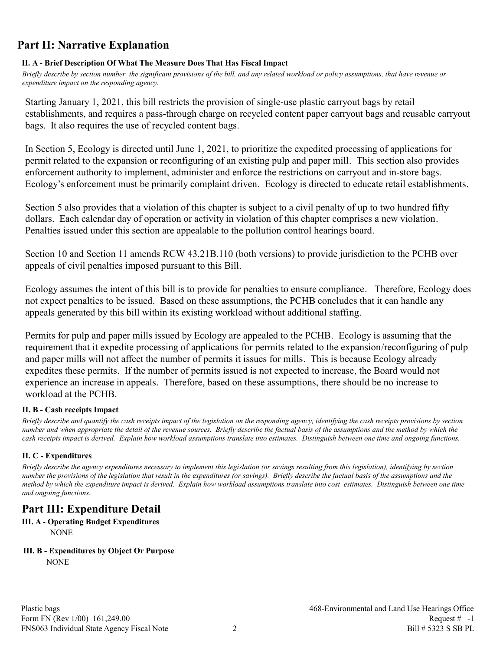## **Part II: Narrative Explanation**

### **II. A - Brief Description Of What The Measure Does That Has Fiscal Impact**

*Briefly describe by section number, the significant provisions of the bill, and any related workload or policy assumptions, that have revenue or expenditure impact on the responding agency.*

Starting January 1, 2021, this bill restricts the provision of single-use plastic carryout bags by retail establishments, and requires a pass-through charge on recycled content paper carryout bags and reusable carryout bags. It also requires the use of recycled content bags.

In Section 5, Ecology is directed until June 1, 2021, to prioritize the expedited processing of applications for permit related to the expansion or reconfiguring of an existing pulp and paper mill. This section also provides enforcement authority to implement, administer and enforce the restrictions on carryout and in-store bags. Ecology's enforcement must be primarily complaint driven. Ecology is directed to educate retail establishments.

Section 5 also provides that a violation of this chapter is subject to a civil penalty of up to two hundred fifty dollars. Each calendar day of operation or activity in violation of this chapter comprises a new violation. Penalties issued under this section are appealable to the pollution control hearings board.

Section 10 and Section 11 amends RCW 43.21B.110 (both versions) to provide jurisdiction to the PCHB over appeals of civil penalties imposed pursuant to this Bill.

Ecology assumes the intent of this bill is to provide for penalties to ensure compliance. Therefore, Ecology does not expect penalties to be issued. Based on these assumptions, the PCHB concludes that it can handle any appeals generated by this bill within its existing workload without additional staffing.

Permits for pulp and paper mills issued by Ecology are appealed to the PCHB. Ecology is assuming that the requirement that it expedite processing of applications for permits related to the expansion/reconfiguring of pulp and paper mills will not affect the number of permits it issues for mills. This is because Ecology already expedites these permits. If the number of permits issued is not expected to increase, the Board would not experience an increase in appeals. Therefore, based on these assumptions, there should be no increase to workload at the PCHB.

### **II. B - Cash receipts Impact**

*Briefly describe and quantify the cash receipts impact of the legislation on the responding agency, identifying the cash receipts provisions by section number and when appropriate the detail of the revenue sources. Briefly describe the factual basis of the assumptions and the method by which the cash receipts impact is derived. Explain how workload assumptions translate into estimates. Distinguish between one time and ongoing functions.*

### **II. C - Expenditures**

*Briefly describe the agency expenditures necessary to implement this legislation (or savings resulting from this legislation), identifying by section number the provisions of the legislation that result in the expenditures (or savings). Briefly describe the factual basis of the assumptions and the method by which the expenditure impact is derived. Explain how workload assumptions translate into cost estimates. Distinguish between one time and ongoing functions.*

# **Part III: Expenditure Detail**

**III. A - Operating Budget Expenditures** NONE

### **III. B - Expenditures by Object Or Purpose**

**NONE**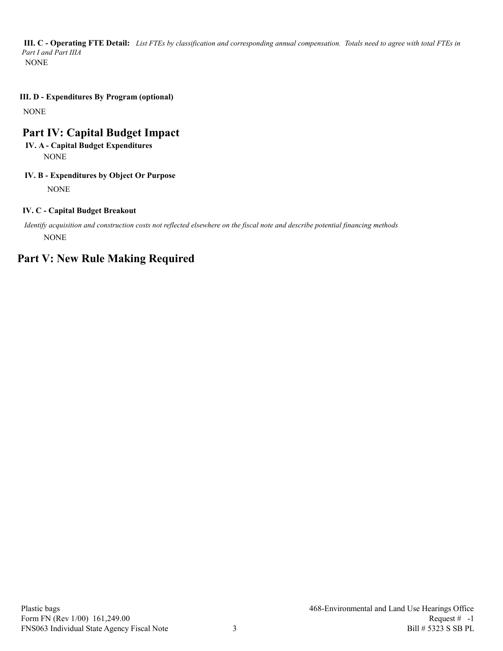*Part I and Part IIIA* **III. C - Operating FTE Detail:** *List FTEs by classification and corresponding annual compensation. Totals need to agree with total FTEs in*  NONE

**III. D - Expenditures By Program (optional)**

NONE

## **Part IV: Capital Budget Impact**

### **IV. A - Capital Budget Expenditures** NONE

### **IV. B - Expenditures by Object Or Purpose**

NONE

### **IV. C - Capital Budget Breakout**

 *Identify acquisition and construction costs not reflected elsewhere on the fiscal note and describe potential financing methods* NONE

## **Part V: New Rule Making Required**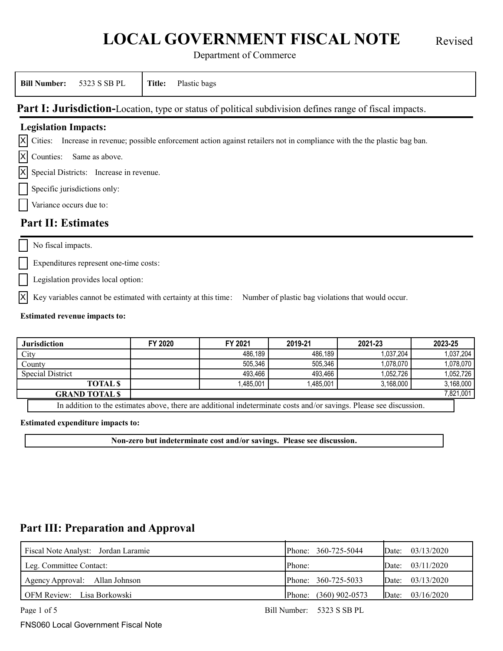# **LOCAL GOVERNMENT FISCAL NOTE** Revised

Department of Commerce

| <b>Bill Number:</b>                     | 5323 S SB PL                                            | Plastic bags<br>Title:                                                                                                           |  |
|-----------------------------------------|---------------------------------------------------------|----------------------------------------------------------------------------------------------------------------------------------|--|
|                                         |                                                         | Part I: Jurisdiction-Location, type or status of political subdivision defines range of fiscal impacts.                          |  |
| <b>Legislation Impacts:</b>             |                                                         |                                                                                                                                  |  |
|                                         |                                                         | $ X $ Cities: Increase in revenue; possible enforcement action against retailers not in compliance with the the plastic bag ban. |  |
| $ \mathsf{X} $ Counties: Same as above. |                                                         |                                                                                                                                  |  |
|                                         | $\vert X \vert$ Special Districts: Increase in revenue. |                                                                                                                                  |  |
| Specific jurisdictions only:            |                                                         |                                                                                                                                  |  |
| Variance occurs due to:                 |                                                         |                                                                                                                                  |  |
| <b>Part II: Estimates</b>               |                                                         |                                                                                                                                  |  |

No fiscal impacts.

Expenditures represent one-time costs:

Legislation provides local option:

 $\overline{X}$  Key variables cannot be estimated with certainty at this time: Number of plastic bag violations that would occur.

### **Estimated revenue impacts to:**

| <b>Jurisdiction</b>                                                                                                 | FY 2020 | FY 2021   | 2019-21   | 2021-23   | 2023-25   |  |  |  |
|---------------------------------------------------------------------------------------------------------------------|---------|-----------|-----------|-----------|-----------|--|--|--|
| City                                                                                                                |         | 486.189   | 486.189   | 1.037.204 | 1,037,204 |  |  |  |
| County                                                                                                              |         | 505.346   | 505.346   | 1,078,070 | 1,078,070 |  |  |  |
| <b>Special District</b>                                                                                             |         | 493.466   | 493.466   | 1,052,726 | 1,052,726 |  |  |  |
| <b>TOTAL S</b>                                                                                                      |         | 1.485.001 | 1.485.001 | 3,168,000 | 3,168,000 |  |  |  |
| <b>GRAND TOTALS</b>                                                                                                 |         | 7,821,001 |           |           |           |  |  |  |
| In addition to the estimates above, there are additional indeterminate costs and/or savings. Please see discussion. |         |           |           |           |           |  |  |  |

**Estimated expenditure impacts to:**

**Non-zero but indeterminate cost and/or savings. Please see discussion.**

### **Part III: Preparation and Approval**

| Fiscal Note Analyst: Jordan Laramie | Phone: 360-725-5044   | Date: $03/13/2020$ |
|-------------------------------------|-----------------------|--------------------|
| Leg. Committee Contact:             | Phone:                | Date: $03/11/2020$ |
| Agency Approval: Allan Johnson      | Phone: 360-725-5033   | Date: $03/13/2020$ |
| OFM Review: Lisa Borkowski          | Phone: (360) 902-0573 | Date: $03/16/2020$ |

Page 1 of 5 Bill Number: 5323 S SB PL

FNS060 Local Government Fiscal Note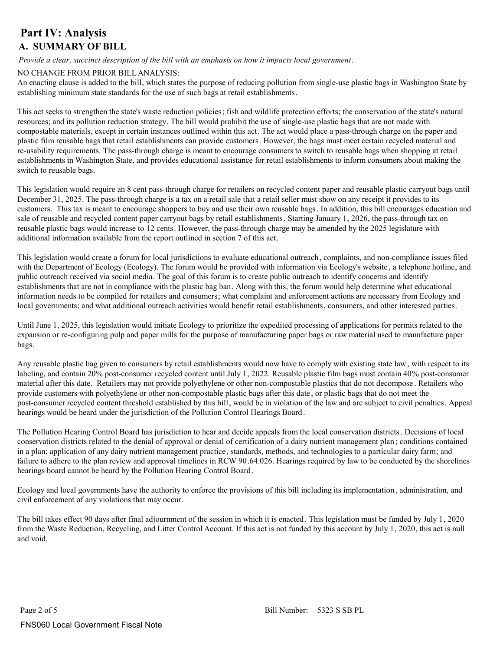### **Part IV: Analysis A. SUMMARY OF BILL**

*Provide a clear, succinct description of the bill with an emphasis on how it impacts local government.*

### NO CHANGE FROM PRIOR BILL ANALYSIS:

An enacting clause is added to the bill, which states the purpose of reducing pollution from single-use plastic bags in Washington State by establishing minimum state standards for the use of such bags at retail establishments.

This act seeks to strengthen the state's waste reduction policies; fish and wildlife protection efforts; the conservation of the state's natural resources; and its pollution reduction strategy. The bill would prohibit the use of single-use plastic bags that are not made with compostable materials, except in certain instances outlined within this act. The act would place a pass-through charge on the paper and plastic film reusable bags that retail establishments can provide customers. However, the bags must meet certain recycled material and re-usability requirements. The pass-through charge is meant to encourage consumers to switch to reusable bags when shopping at retail establishments in Washington State, and provides educational assistance for retail establishments to inform consumers about making the switch to reusable bags.

This legislation would require an 8 cent pass-through charge for retailers on recycled content paper and reusable plastic carryout bags until December 31, 2025. The pass-through charge is a tax on a retail sale that a retail seller must show on any receipt it provides to its customers. This tax is meant to encourage shoppers to buy and use their own reusable bags. In addition, this bill encourages education and sale of reusable and recycled content paper carryout bags by retail establishments. Starting January 1, 2026, the pass-through tax on reusable plastic bags would increase to 12 cents. However, the pass-through charge may be amended by the 2025 legislature with additional information available from the report outlined in section 7 of this act.

This legislation would create a forum for local jurisdictions to evaluate educational outreach, complaints, and non-compliance issues filed with the Department of Ecology (Ecology). The forum would be provided with information via Ecology's website , a telephone hotline, and public outreach received via social media. The goal of this forum is to create public outreach to identify concerns and identify establishments that are not in compliance with the plastic bag ban. Along with this, the forum would help determine what educational information needs to be compiled for retailers and consumers; what complaint and enforcement actions are necessary from Ecology and local governments; and what additional outreach activities would benefit retail establishments, consumers, and other interested parties.

Until June 1, 2025, this legislation would initiate Ecology to prioritize the expedited processing of applications for permits related to the expansion or re-configuring pulp and paper mills for the purpose of manufacturing paper bags or raw material used to manufacture paper bags.

Any reusable plastic bag given to consumers by retail establishments would now have to comply with existing state law, with respect to its labeling, and contain 20% post-consumer recycled content until July 1, 2022. Reusable plastic film bags must contain 40% post-consumer material after this date. Retailers may not provide polyethylene or other non-compostable plastics that do not decompose . Retailers who provide customers with polyethylene or other non-compostable plastic bags after this date , or plastic bags that do not meet the post-consumer recycled content threshold established by this bill, would be in violation of the law and are subject to civil penalties. Appeal hearings would be heard under the jurisdiction of the Pollution Control Hearings Board.

The Pollution Hearing Control Board has jurisdiction to hear and decide appeals from the local conservation districts. Decisions of local conservation districts related to the denial of approval or denial of certification of a dairy nutrient management plan ; conditions contained in a plan; application of any dairy nutrient management practice, standards, methods, and technologies to a particular dairy farm; and failure to adhere to the plan review and approval timelines in RCW 90.64.026. Hearings required by law to be conducted by the shorelines hearings board cannot be heard by the Pollution Hearing Control Board.

Ecology and local governments have the authority to enforce the provisions of this bill including its implementation , administration, and civil enforcement of any violations that may occur.

The bill takes effect 90 days after final adjournment of the session in which it is enacted. This legislation must be funded by July 1, 2020 from the Waste Reduction, Recycling, and Litter Control Account. If this act is not funded by this account by July 1, 2020, this act is null and void.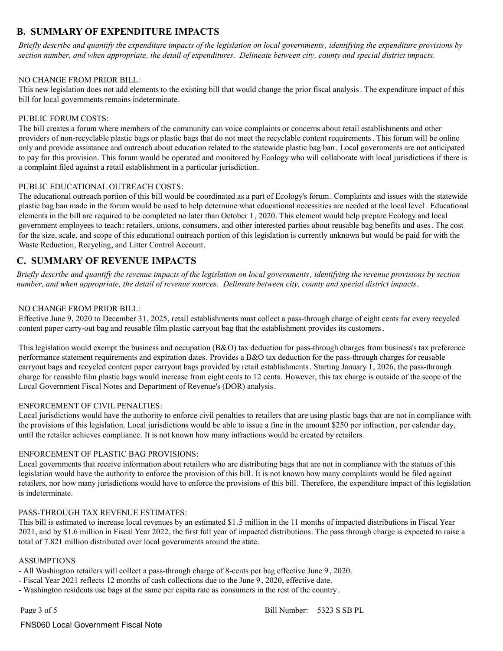### **B. SUMMARY OF EXPENDITURE IMPACTS**

*Briefly describe and quantify the expenditure impacts of the legislation on local governments, identifying the expenditure provisions by section number, and when appropriate, the detail of expenditures. Delineate between city, county and special district impacts.*

### NO CHANGE FROM PRIOR BILL:

This new legislation does not add elements to the existing bill that would change the prior fiscal analysis. The expenditure impact of this bill for local governments remains indeterminate.

#### PUBLIC FORUM COSTS:

The bill creates a forum where members of the community can voice complaints or concerns about retail establishments and other providers of non-recyclable plastic bags or plastic bags that do not meet the recyclable content requirements. This forum will be online only and provide assistance and outreach about education related to the statewide plastic bag ban . Local governments are not anticipated to pay for this provision. This forum would be operated and monitored by Ecology who will collaborate with local jurisdictions if there is a complaint filed against a retail establishment in a particular jurisdiction.

### PUBLIC EDUCATIONAL OUTREACH COSTS:

The educational outreach portion of this bill would be coordinated as a part of Ecology's forum. Complaints and issues with the statewide plastic bag ban made in the forum would be used to help determine what educational necessities are needed at the local level . Educational elements in the bill are required to be completed no later than October 1, 2020. This element would help prepare Ecology and local government employees to teach: retailers, unions, consumers, and other interested parties about reusable bag benefits and uses. The cost for the size, scale, and scope of this educational outreach portion of this legislation is currently unknown but would be paid for with the Waste Reduction, Recycling, and Litter Control Account.

### **C. SUMMARY OF REVENUE IMPACTS**

*Briefly describe and quantify the revenue impacts of the legislation on local governments, identifying the revenue provisions by section number, and when appropriate, the detail of revenue sources. Delineate between city, county and special district impacts.*

### NO CHANGE FROM PRIOR BILL:

Effective June 9, 2020 to December 31, 2025, retail establishments must collect a pass-through charge of eight cents for every recycled content paper carry-out bag and reusable film plastic carryout bag that the establishment provides its customers.

This legislation would exempt the business and occupation  $(B&O)$  tax deduction for pass-through charges from business's tax preference performance statement requirements and expiration dates. Provides a B&O tax deduction for the pass-through charges for reusable carryout bags and recycled content paper carryout bags provided by retail establishments. Starting January 1, 2026, the pass-through charge for reusable film plastic bags would increase from eight cents to 12 cents. However, this tax charge is outside of the scope of the Local Government Fiscal Notes and Department of Revenue's (DOR) analysis.

#### ENFORCEMENT OF CIVIL PENALTIES:

Local jurisdictions would have the authority to enforce civil penalties to retailers that are using plastic bags that are not in compliance with the provisions of this legislation. Local jurisdictions would be able to issue a fine in the amount \$250 per infraction, per calendar day, until the retailer achieves compliance. It is not known how many infractions would be created by retailers.

#### ENFORCEMENT OF PLASTIC BAG PROVISIONS:

Local governments that receive information about retailers who are distributing bags that are not in compliance with the statues of this legislation would have the authority to enforce the provision of this bill. It is not known how many complaints would be filed against retailers, nor how many jurisdictions would have to enforce the provisions of this bill. Therefore, the expenditure impact of this legislation is indeterminate.

#### PASS-THROUGH TAX REVENUE ESTIMATES:

This bill is estimated to increase local revenues by an estimated \$1.5 million in the 11 months of impacted distributions in Fiscal Year 2021, and by \$1.6 million in Fiscal Year 2022, the first full year of impacted distributions. The pass through charge is expected to raise a total of 7.821 million distributed over local governments around the state.

#### **ASSUMPTIONS**

- All Washington retailers will collect a pass-through charge of 8-cents per bag effective June 9 , 2020.

- Fiscal Year 2021 reflects 12 months of cash collections due to the June 9, 2020, effective date.
- Washington residents use bags at the same per capita rate as consumers in the rest of the country .

FNS060 Local Government Fiscal Note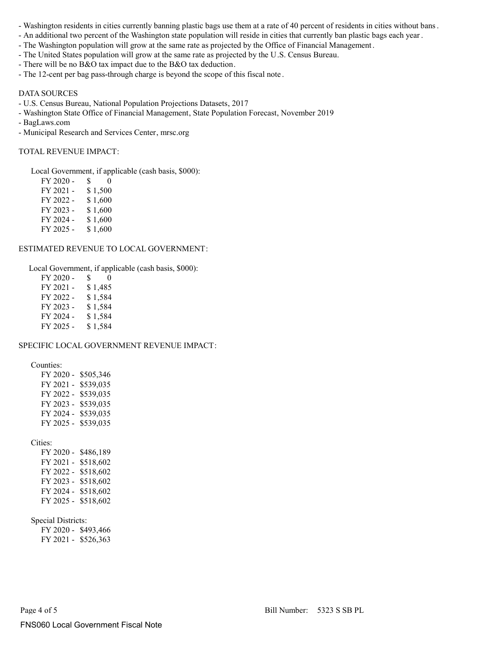- Washington residents in cities currently banning plastic bags use them at a rate of 40 percent of residents in cities without bans.
- An additional two percent of the Washington state population will reside in cities that currently ban plastic bags each year.
- The Washington population will grow at the same rate as projected by the Office of Financial Management .
- The United States population will grow at the same rate as projected by the U.S. Census Bureau.
- There will be no B&O tax impact due to the B&O tax deduction.
- The 12-cent per bag pass-through charge is beyond the scope of this fiscal note .

### DATA SOURCES

- U.S. Census Bureau, National Population Projections Datasets, 2017
- Washington State Office of Financial Management, State Population Forecast, November 2019
- BagLaws.com
- Municipal Research and Services Center, mrsc.org

### TOTAL REVENUE IMPACT:

Local Government, if applicable (cash basis, \$000):

| FY 2020 - | S.<br>$_{0}$ |
|-----------|--------------|
| FY 2021 - | \$1,500      |
| FY 2022 - | \$1,600      |
| FY 2023 - | \$1,600      |
| FY 2024 - | \$1,600      |
| FY 2025 - | \$1,600      |

#### ESTIMATED REVENUE TO LOCAL GOVERNMENT:

Local Government, if applicable (cash basis, \$000):

| FY 2020 - | S. | $^{(1)}$ |
|-----------|----|----------|
| FY 2021 - |    | \$1,485  |
| FY 2022 - |    | \$1,584  |
| FY 2023 - |    | \$1,584  |
| FY 2024 - |    | \$1,584  |
| FY 2025 - |    | \$1,584  |

#### SPECIFIC LOCAL GOVERNMENT REVENUE IMPACT:

Counties:

| FY 2020 - | \$505,346 |
|-----------|-----------|
| FY 2021 - | \$539.035 |
| FY 2022 - | \$539.035 |
| FY 2023 - | \$539.035 |
| FY 2024 - | \$539.035 |
| FY 2025 - | \$539,035 |

Cities:

| FY 2020 - | \$486,189 |
|-----------|-----------|
| FY 2021 - | \$518,602 |
| FY 2022 - | \$518,602 |
| FY 2023 - | \$518,602 |
| FY 2024 - | \$518,602 |
| FY 2025 - | \$518,602 |

Special Districts:

 FY 2020 - \$493,466 FY 2021 - \$526,363